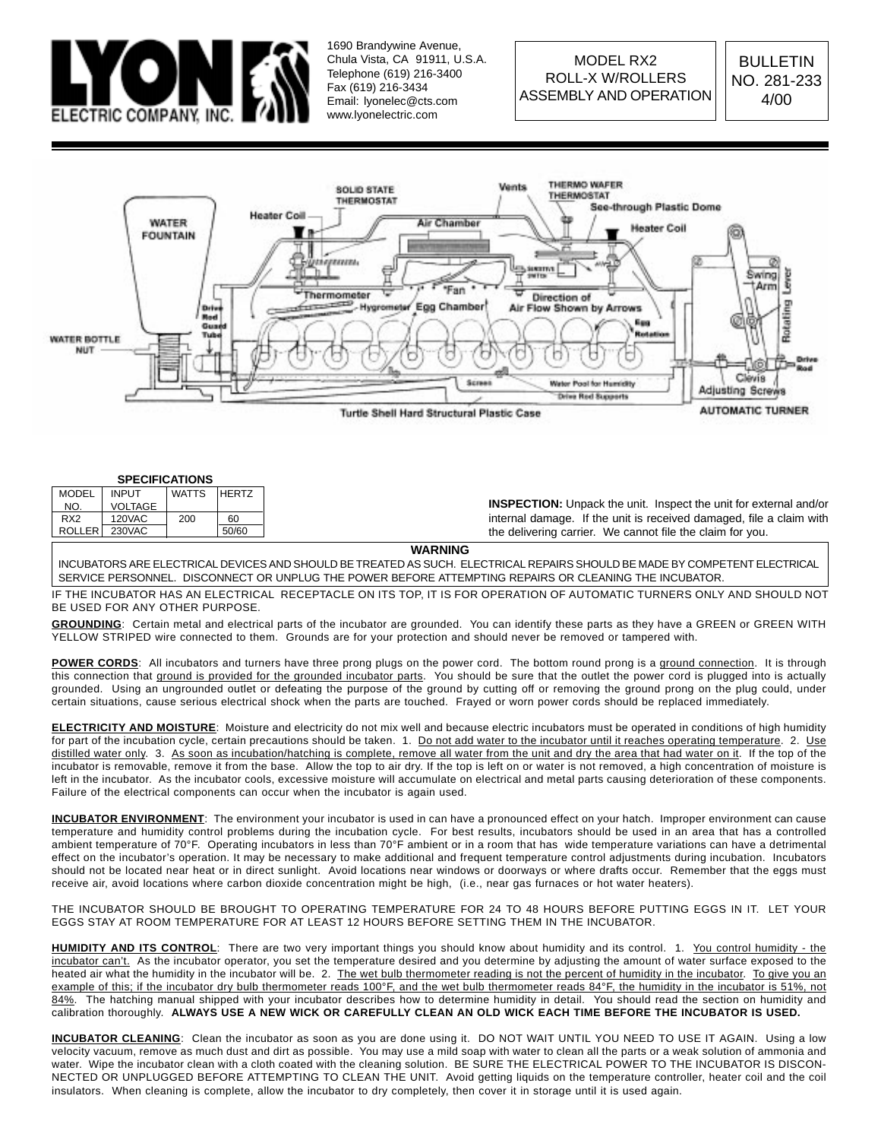

1690 Brandywine Avenue, Chula Vista, CA 91911, U.S.A. Telephone (619) 216-3400 Fax (619) 216-3434 Email: lyonelec@cts.com www.lyonelectric.com



#### **SPECIFICATIONS**

| <b>MODEL</b>    | <b>INPUT</b>  | <b>WATTS</b> | <b>HERTZ</b> |                                                                          |
|-----------------|---------------|--------------|--------------|--------------------------------------------------------------------------|
| NO.             | VOLTAGE       |              |              | <b>INSPECTION:</b> Unpack the unit. Inspect the unit for external and/or |
| RX <sub>2</sub> | 120VAC        | 200          | 60           | internal damage. If the unit is received damaged, file a claim with      |
|                 | ROLLER 230VAC |              | 50/60        | the delivering carrier. We cannot file the claim for you.                |

**WARNING**

INCUBATORS ARE ELECTRICAL DEVICES AND SHOULD BE TREATED AS SUCH. ELECTRICAL REPAIRS SHOULD BE MADE BY COMPETENT ELECTRICAL SERVICE PERSONNEL. DISCONNECT OR UNPLUG THE POWER BEFORE ATTEMPTING REPAIRS OR CLEANING THE INCUBATOR.

IF THE INCUBATOR HAS AN ELECTRICAL RECEPTACLE ON ITS TOP, IT IS FOR OPERATION OF AUTOMATIC TURNERS ONLY AND SHOULD NOT BE USED FOR ANY OTHER PURPOSE.

**GROUNDING**: Certain metal and electrical parts of the incubator are grounded. You can identify these parts as they have a GREEN or GREEN WITH YELLOW STRIPED wire connected to them. Grounds are for your protection and should never be removed or tampered with.

POWER CORDS: All incubators and turners have three prong plugs on the power cord. The bottom round prong is a ground connection. It is through this connection that ground is provided for the grounded incubator parts. You should be sure that the outlet the power cord is plugged into is actually grounded. Using an ungrounded outlet or defeating the purpose of the ground by cutting off or removing the ground prong on the plug could, under certain situations, cause serious electrical shock when the parts are touched. Frayed or worn power cords should be replaced immediately.

**ELECTRICITY AND MOISTURE**: Moisture and electricity do not mix well and because electric incubators must be operated in conditions of high humidity for part of the incubation cycle, certain precautions should be taken. 1. Do not add water to the incubator until it reaches operating temperature. 2. Use distilled water only. 3. As soon as incubation/hatching is complete, remove all water from the unit and dry the area that had water on it. If the top of the incubator is removable, remove it from the base. Allow the top to air dry. If the top is left on or water is not removed, a high concentration of moisture is left in the incubator. As the incubator cools, excessive moisture will accumulate on electrical and metal parts causing deterioration of these components. Failure of the electrical components can occur when the incubator is again used.

**INCUBATOR ENVIRONMENT**: The environment your incubator is used in can have a pronounced effect on your hatch. Improper environment can cause temperature and humidity control problems during the incubation cycle. For best results, incubators should be used in an area that has a controlled ambient temperature of 70°F. Operating incubators in less than 70°F ambient or in a room that has wide temperature variations can have a detrimental effect on the incubator's operation. It may be necessary to make additional and frequent temperature control adjustments during incubation. Incubators should not be located near heat or in direct sunlight. Avoid locations near windows or doorways or where drafts occur. Remember that the eggs must receive air, avoid locations where carbon dioxide concentration might be high, (i.e., near gas furnaces or hot water heaters).

THE INCUBATOR SHOULD BE BROUGHT TO OPERATING TEMPERATURE FOR 24 TO 48 HOURS BEFORE PUTTING EGGS IN IT. LET YOUR EGGS STAY AT ROOM TEMPERATURE FOR AT LEAST 12 HOURS BEFORE SETTING THEM IN THE INCUBATOR.

HUMIDITY AND ITS CONTROL: There are two very important things you should know about humidity and its control. 1. You control humidity - the incubator can't. As the incubator operator, you set the temperature desired and you determine by adjusting the amount of water surface exposed to the heated air what the humidity in the incubator will be. 2. The wet bulb thermometer reading is not the percent of humidity in the incubator. To give you an example of this; if the incubator dry bulb thermometer reads 100°F, and the wet bulb thermometer reads 84°F, the humidity in the incubator is 51%, not 84%. The hatching manual shipped with your incubator describes how to determine humidity in detail. You should read the section on humidity and calibration thoroughly. **ALWAYS USE A NEW WICK OR CAREFULLY CLEAN AN OLD WICK EACH TIME BEFORE THE INCUBATOR IS USED.**

**INCUBATOR CLEANING**: Clean the incubator as soon as you are done using it. DO NOT WAIT UNTIL YOU NEED TO USE IT AGAIN. Using a low velocity vacuum, remove as much dust and dirt as possible. You may use a mild soap with water to clean all the parts or a weak solution of ammonia and water. Wipe the incubator clean with a cloth coated with the cleaning solution. BE SURE THE ELECTRICAL POWER TO THE INCUBATOR IS DISCON-NECTED OR UNPLUGGED BEFORE ATTEMPTING TO CLEAN THE UNIT. Avoid getting liquids on the temperature controller, heater coil and the coil insulators. When cleaning is complete, allow the incubator to dry completely, then cover it in storage until it is used again.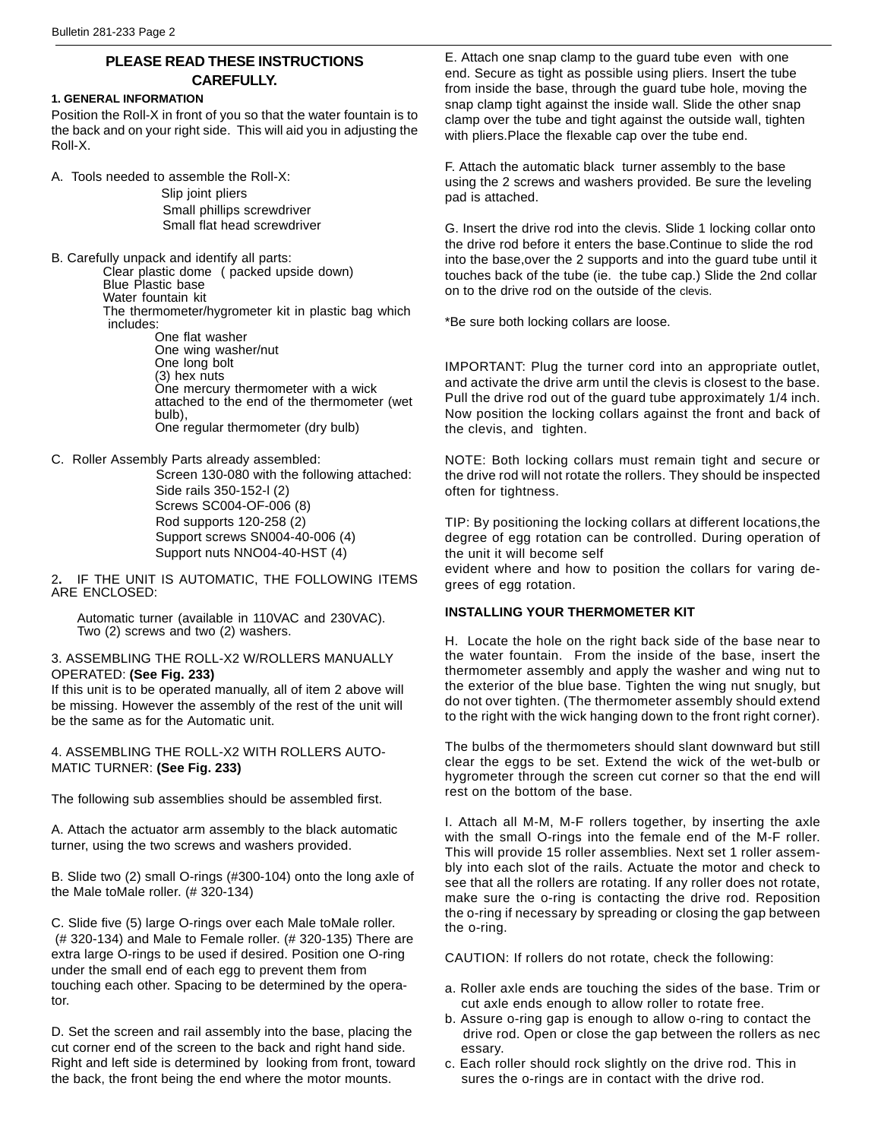# **PLEASE READ THESE INSTRUCTIONS CAREFULLY.**

#### **1. GENERAL INFORMATION**

Position the Roll-X in front of you so that the water fountain is to the back and on your right side. This will aid you in adjusting the Roll-X.

A. Tools needed to assemble the Roll-X:

Slip joint pliers Small phillips screwdriver Small flat head screwdriver

B. Carefully unpack and identify all parts: Clear plastic dome ( packed upside down) Blue Plastic base Water fountain kit The thermometer/hygrometer kit in plastic bag which includes: One flat washer One wing washer/nut One long bolt (3) hex nuts One mercury thermometer with a wick attached to the end of the thermometer (wet bulb),

One regular thermometer (dry bulb)

C. Roller Assembly Parts already assembled:

 Screen 130-080 with the following attached: Side rails 350-152-l (2) Screws SC004-OF-006 (8) Rod supports 120-258 (2) Support screws SN004-40-006 (4) Support nuts NNO04-40-HST (4)

2**.** IF THE UNIT IS AUTOMATIC, THE FOLLOWING ITEMS ARE ENCLOSED:

Automatic turner (available in 110VAC and 230VAC). Two (2) screws and two (2) washers.

#### 3. ASSEMBLING THE ROLL-X2 W/ROLLERS MANUALLY OPERATED: **(See Fig. 233)**

If this unit is to be operated manually, all of item 2 above will be missing. However the assembly of the rest of the unit will be the same as for the Automatic unit.

4. ASSEMBLING THE ROLL-X2 WITH ROLLERS AUTO-MATIC TURNER: **(See Fig. 233)**

The following sub assemblies should be assembled first.

A. Attach the actuator arm assembly to the black automatic turner, using the two screws and washers provided.

B. Slide two (2) small O-rings (#300-104) onto the long axle of the Male toMale roller. (# 320-134)

C. Slide five (5) large O-rings over each Male toMale roller. (# 320-134) and Male to Female roller. (# 320-135) There are extra large O-rings to be used if desired. Position one O-ring under the small end of each egg to prevent them from touching each other. Spacing to be determined by the operator.

D. Set the screen and rail assembly into the base, placing the cut corner end of the screen to the back and right hand side. Right and left side is determined by looking from front, toward the back, the front being the end where the motor mounts.

E. Attach one snap clamp to the guard tube even with one end. Secure as tight as possible using pliers. Insert the tube from inside the base, through the guard tube hole, moving the snap clamp tight against the inside wall. Slide the other snap clamp over the tube and tight against the outside wall, tighten with pliers.Place the flexable cap over the tube end.

F. Attach the automatic black turner assembly to the base using the 2 screws and washers provided. Be sure the leveling pad is attached.

G. Insert the drive rod into the clevis. Slide 1 locking collar onto the drive rod before it enters the base.Continue to slide the rod into the base,over the 2 supports and into the guard tube until it touches back of the tube (ie. the tube cap.) Slide the 2nd collar on to the drive rod on the outside of the clevis.

\*Be sure both locking collars are loose.

IMPORTANT: Plug the turner cord into an appropriate outlet, and activate the drive arm until the clevis is closest to the base. Pull the drive rod out of the guard tube approximately 1/4 inch. Now position the locking collars against the front and back of the clevis, and tighten.

NOTE: Both locking collars must remain tight and secure or the drive rod will not rotate the rollers. They should be inspected often for tightness.

TIP: By positioning the locking collars at different locations,the degree of egg rotation can be controlled. During operation of the unit it will become self

evident where and how to position the collars for varing degrees of egg rotation.

## **INSTALLING YOUR THERMOMETER KIT**

H. Locate the hole on the right back side of the base near to the water fountain. From the inside of the base, insert the thermometer assembly and apply the washer and wing nut to the exterior of the blue base. Tighten the wing nut snugly, but do not over tighten. (The thermometer assembly should extend to the right with the wick hanging down to the front right corner).

The bulbs of the thermometers should slant downward but still clear the eggs to be set. Extend the wick of the wet-bulb or hygrometer through the screen cut corner so that the end will rest on the bottom of the base.

I. Attach all M-M, M-F rollers together, by inserting the axle with the small O-rings into the female end of the M-F roller. This will provide 15 roller assemblies. Next set 1 roller assembly into each slot of the rails. Actuate the motor and check to see that all the rollers are rotating. If any roller does not rotate, make sure the o-ring is contacting the drive rod. Reposition the o-ring if necessary by spreading or closing the gap between the o-ring.

CAUTION: If rollers do not rotate, check the following:

- a. Roller axle ends are touching the sides of the base. Trim or cut axle ends enough to allow roller to rotate free.
- b. Assure o-ring gap is enough to allow o-ring to contact the drive rod. Open or close the gap between the rollers as nec essary.
- c. Each roller should rock slightly on the drive rod. This in sures the o-rings are in contact with the drive rod.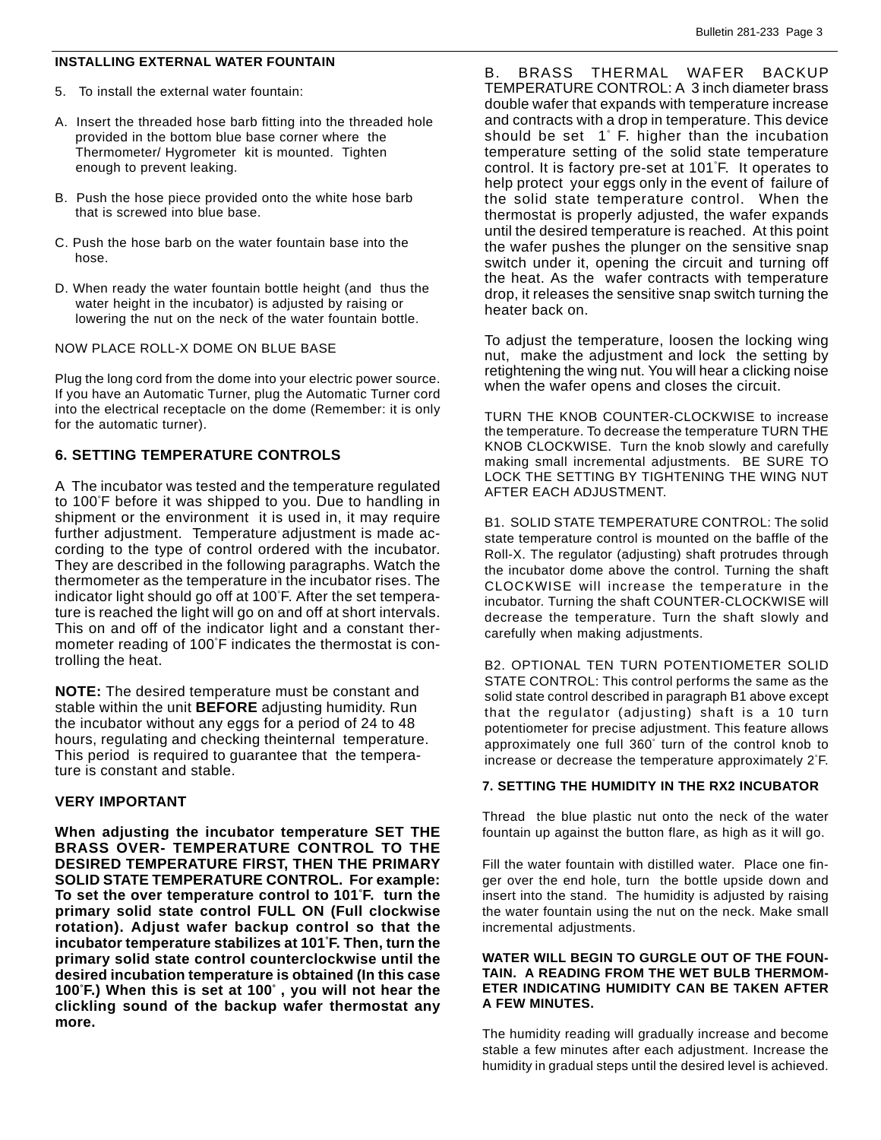## **INSTALLING EXTERNAL WATER FOUNTAIN**

- 5. To install the external water fountain:
- A. Insert the threaded hose barb fitting into the threaded hole provided in the bottom blue base corner where the Thermometer/ Hygrometer kit is mounted. Tighten enough to prevent leaking.
- B. Push the hose piece provided onto the white hose barb that is screwed into blue base.
- C. Push the hose barb on the water fountain base into the hose.
- D. When ready the water fountain bottle height (and thus the water height in the incubator) is adjusted by raising or lowering the nut on the neck of the water fountain bottle.

## NOW PLACE ROLL-X DOME ON BLUE BASE

Plug the long cord from the dome into your electric power source. If you have an Automatic Turner, plug the Automatic Turner cord into the electrical receptacle on the dome (Remember: it is only for the automatic turner).

# **6. SETTING TEMPERATURE CONTROLS**

A The incubator was tested and the temperature regulated to 100° F before it was shipped to you. Due to handling in shipment or the environment it is used in, it may require further adjustment. Temperature adjustment is made according to the type of control ordered with the incubator. They are described in the following paragraphs. Watch the thermometer as the temperature in the incubator rises. The indicator light should go off at 100° F. After the set temperature is reached the light will go on and off at short intervals. This on and off of the indicator light and a constant thermometer reading of 100° F indicates the thermostat is controlling the heat.

**NOTE:** The desired temperature must be constant and stable within the unit **BEFORE** adjusting humidity. Run the incubator without any eggs for a period of 24 to 48 hours, regulating and checking theinternal temperature. This period is required to guarantee that the temperature is constant and stable.

# **VERY IMPORTANT**

**When adjusting the incubator temperature SET THE BRASS OVER- TEMPERATURE CONTROL TO THE DESIRED TEMPERATURE FlRST, THEN THE PRIMARY SOLID STATE TEMPERATURE CONTROL. For example: To set the over temperature control to 101° F. turn the primary solid state control FULL ON (Full clockwise rotation). Adjust wafer backup control so that the incubator temperature stabilizes at 101° F. Then, turn the primary solid state control counterclockwise until the desired incubation temperature is obtained (In this case 100° F.) When this is set at 100° , you will not hear the clickling sound of the backup wafer thermostat any more.**

B. BRASS THERMAL WAFER BACKUP TEMPERATURE CONTROL: A 3 inch diameter brass double wafer that expands with temperature increase and contracts with a drop in temperature. This device should be set 1° F. higher than the incubation temperature setting of the solid state temperature control. It is factory pre-set at 101° F. It operates to help protect your eggs only in the event of failure of the solid state temperature control. When the thermostat is properly adjusted, the wafer expands until the desired temperature is reached. At this point the wafer pushes the plunger on the sensitive snap switch under it, opening the circuit and turning off the heat. As the wafer contracts with temperature drop, it releases the sensitive snap switch turning the heater back on.

To adjust the temperature, loosen the locking wing nut, make the adjustment and lock the setting by retightening the wing nut. You will hear a clicking noise when the wafer opens and closes the circuit.

TURN THE KNOB COUNTER-CLOCKWISE to increase the temperature. To decrease the temperature TURN THE KNOB CLOCKWISE. Turn the knob slowly and carefully making small incremental adjustments. BE SURE TO LOCK THE SETTING BY TIGHTENING THE WING NUT AFTER EACH ADJUSTMENT.

B1. SOLID STATE TEMPERATURE CONTROL: The solid state temperature control is mounted on the baffle of the Roll-X. The regulator (adjusting) shaft protrudes through the incubator dome above the control. Turning the shaft CLOCKWISE will increase the temperature in the incubator. Turning the shaft COUNTER-CLOCKWISE will decrease the temperature. Turn the shaft slowly and carefully when making adjustments.

B2. OPTIONAL TEN TURN POTENTIOMETER SOLID STATE CONTROL: This control performs the same as the solid state control described in paragraph B1 above except that the regulator (adjusting) shaft is a 10 turn potentiometer for precise adjustment. This feature allows approximately one full 360° turn of the control knob to increase or decrease the temperature approximately 2° F.

## **7. SETTING THE HUMIDITY IN THE RX2 INCUBATOR**

Thread the blue plastic nut onto the neck of the water fountain up against the button flare, as high as it will go.

Fill the water fountain with distilled water. Place one finger over the end hole, turn the bottle upside down and insert into the stand. The humidity is adjusted by raising the water fountain using the nut on the neck. Make small incremental adjustments.

## **WATER WILL BEGIN TO GURGLE OUT OF THE FOUN-TAIN. A READING FROM THE WET BULB THERMOM-ETER INDICATING HUMIDITY CAN BE TAKEN AFTER A FEW MINUTES.**

The humidity reading will gradually increase and become stable a few minutes after each adjustment. Increase the humidity in gradual steps until the desired level is achieved.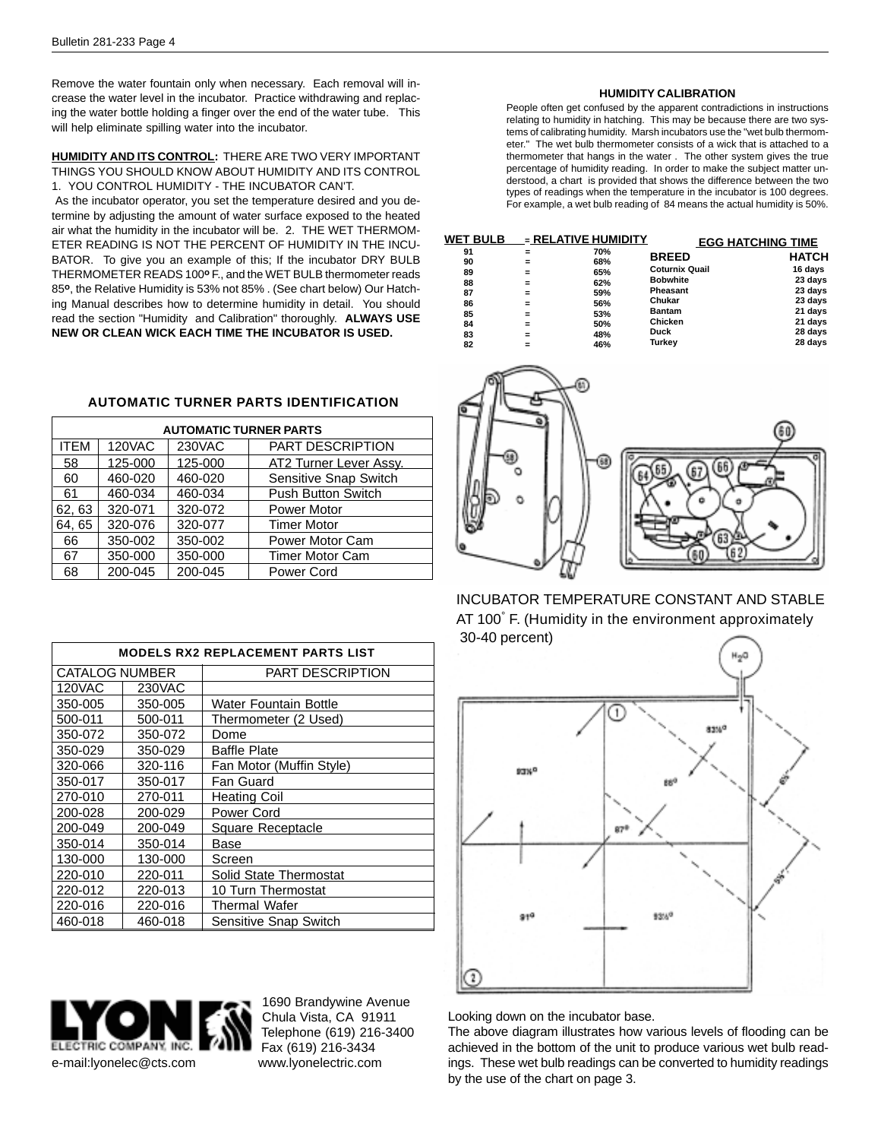Remove the water fountain only when necessary. Each removal will increase the water level in the incubator. Practice withdrawing and replacing the water bottle holding a finger over the end of the water tube. This will help eliminate spilling water into the incubator.

#### **HUMIDITY AND ITS CONTROL:** THERE ARE TWO VERY IMPORTANT THINGS YOU SHOULD KNOW ABOUT HUMIDITY AND ITS CONTROL 1. YOU CONTROL HUMIDITY - THE INCUBATOR CAN'T.

 As the incubator operator, you set the temperature desired and you determine by adjusting the amount of water surface exposed to the heated air what the humidity in the incubator will be. 2. THE WET THERMOM-ETER READING IS NOT THE PERCENT OF HUMIDITY IN THE INCU-BATOR. To give you an example of this; If the incubator DRY BULB THERMOMETER READS 100**o** F., and the WET BULB thermometer reads 85**o**, the Relative Humidity is 53% not 85% . (See chart below) Our Hatching Manual describes how to determine humidity in detail. You should read the section "Humidity and Calibration" thoroughly. **ALWAYS USE NEW OR CLEAN WICK EACH TIME THE INCUBATOR IS USED.**

## **AUTOMATIC TURNER PARTS IDENTIFICATION**

| <b>AUTOMATIC TURNER PARTS</b> |         |         |                           |  |  |  |
|-------------------------------|---------|---------|---------------------------|--|--|--|
| <b>ITEM</b>                   | 120VAC  | 230VAC  | <b>PART DESCRIPTION</b>   |  |  |  |
| 58                            | 125-000 | 125-000 | AT2 Turner Lever Assy.    |  |  |  |
| 60                            | 460-020 | 460-020 | Sensitive Snap Switch     |  |  |  |
| 61                            | 460-034 | 460-034 | <b>Push Button Switch</b> |  |  |  |
| 62, 63                        | 320-071 | 320-072 | Power Motor               |  |  |  |
| 64, 65                        | 320-076 | 320-077 | <b>Timer Motor</b>        |  |  |  |
| 66                            | 350-002 | 350-002 | Power Motor Cam           |  |  |  |
| 67                            | 350-000 | 350-000 | <b>Timer Motor Cam</b>    |  |  |  |
| 68                            | 200-045 | 200-045 | Power Cord                |  |  |  |

| <b>MODELS RX2 REPLACEMENT PARTS LIST</b> |         |                          |  |  |  |  |
|------------------------------------------|---------|--------------------------|--|--|--|--|
| <b>CATALOG NUMBER</b>                    |         | <b>PART DESCRIPTION</b>  |  |  |  |  |
| 120VAC                                   | 230VAC  |                          |  |  |  |  |
| 350-005                                  | 350-005 | Water Fountain Bottle    |  |  |  |  |
| 500-011                                  | 500-011 | Thermometer (2 Used)     |  |  |  |  |
| 350-072                                  | 350-072 | Dome                     |  |  |  |  |
| 350-029                                  | 350-029 | Baffle Plate             |  |  |  |  |
| 320-066                                  | 320-116 | Fan Motor (Muffin Style) |  |  |  |  |
| 350-017                                  | 350-017 | Fan Guard                |  |  |  |  |
| 270-010                                  | 270-011 | <b>Heating Coil</b>      |  |  |  |  |
| 200-028                                  | 200-029 | Power Cord               |  |  |  |  |
| 200-049                                  | 200-049 | Square Receptacle        |  |  |  |  |
| 350-014                                  | 350-014 | Base                     |  |  |  |  |
| 130-000                                  | 130-000 | Screen                   |  |  |  |  |
| 220-010                                  | 220-011 | Solid State Thermostat   |  |  |  |  |
| 220-012                                  | 220-013 | 10 Turn Thermostat       |  |  |  |  |
| 220-016                                  | 220-016 | Thermal Wafer            |  |  |  |  |
| 460-018                                  | 460-018 | Sensitive Snap Switch    |  |  |  |  |
|                                          |         |                          |  |  |  |  |



Telephone (619) 216-3400 Fax (619) 216-3434 1690 Brandywine Avenue Chula Vista, CA 91911

#### **HUMIDITY CALIBRATION**

People often get confused by the apparent contradictions in instructions relating to humidity in hatching. This may be because there are two systems of calibrating humidity. Marsh incubators use the "wet bulb thermometer." The wet bulb thermometer consists of a wick that is attached to a thermometer that hangs in the water . The other system gives the true percentage of humidity reading. In order to make the subject matter understood, a chart is provided that shows the difference between the two types of readings when the temperature in the incubator is 100 degrees. For example, a wet bulb reading of 84 means the actual humidity is 50%.

| <b>WET BULB</b>                                    |                                                 | $=$ RELATIVE HUMIDITY                                       |                                                                                                                           | <b>EGG HATCHING TIME</b>                                                                  |
|----------------------------------------------------|-------------------------------------------------|-------------------------------------------------------------|---------------------------------------------------------------------------------------------------------------------------|-------------------------------------------------------------------------------------------|
| 91<br>90<br>89<br>88<br>87<br>86<br>85<br>84<br>83 | =<br>=<br>=<br>$=$<br>$=$<br>=<br>=<br>=<br>$=$ | 70%<br>68%<br>65%<br>62%<br>59%<br>56%<br>53%<br>50%<br>48% | <b>BREED</b><br><b>Coturnix Quail</b><br><b>Bobwhite</b><br>Pheasant<br>Chukar<br><b>Bantam</b><br>Chicken<br><b>Duck</b> | <b>HATCH</b><br>16 days<br>23 days<br>23 days<br>23 days<br>21 days<br>21 days<br>28 days |
| 82                                                 | =                                               | 46%                                                         | Turkey                                                                                                                    | 28 days                                                                                   |



INCUBATOR TEMPERATURE CONSTANT AND STABLE AT 100° F. (Humidity in the environment approximately 30-40 percent)



Looking down on the incubator base.

The above diagram illustrates how various levels of flooding can be achieved in the bottom of the unit to produce various wet bulb readings. These wet bulb readings can be converted to humidity readings by the use of the chart on page 3.